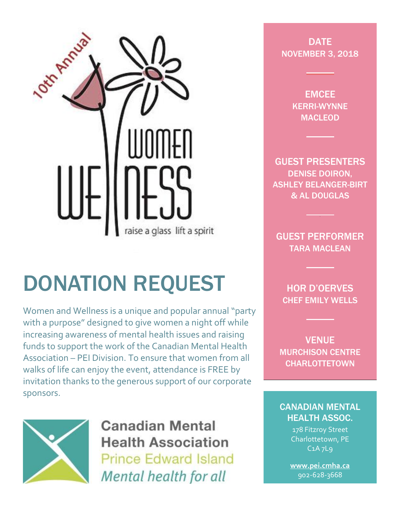

## DONATION REQUEST

Women and Wellness is a unique and popular annual "party with a purpose" designed to give women a night off while increasing awareness of mental health issues and raising funds to support the work of the Canadian Mental Health Association – PEI Division. To ensure that women from all walks of life can enjoy the event, attendance is FREE by invitation thanks to the generous support of our corporate sponsors.



**Canadian Mental Health Association Prince Edward Island** Mental health for all

**DATE** NOVEMBER 3, 2018

> EMCEE KERRI-WYNNE MACLEOD

GUEST PRESENTERS DENISE DOIRON, ASHLEY BELANGER-BIRT & AL DOUGLAS

GUEST PERFORMER TARA MACLEAN

HOR D'OERVES CHEF EMILY WELLS

VENUE MURCHISON CENTRE **CHARLOTTETOWN** 

## CANADIAN MENTAL HEALTH ASSOC.

178 Fitzroy Street Charlottetown, PE C1A 7L9

**[www.pei.cmha.ca](http://www.pei.cmha.ca/)**  902-628-3668